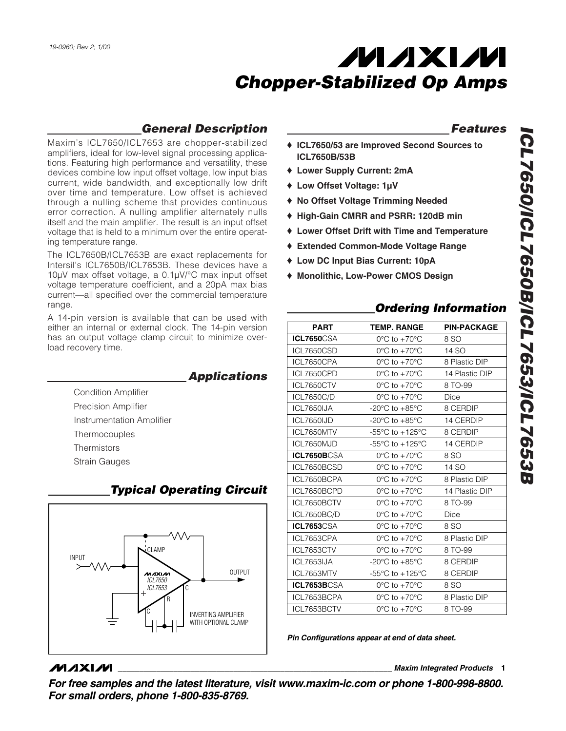## *General Description*

Maxim's ICL7650/ICL7653 are chopper-stabilized amplifiers, ideal for low-level signal processing applications. Featuring high performance and versatility, these devices combine low input offset voltage, low input bias current, wide bandwidth, and exceptionally low drift over time and temperature. Low offset is achieved through a nulling scheme that provides continuous error correction. A nulling amplifier alternately nulls itself and the main amplifier. The result is an input offset voltage that is held to a minimum over the entire operating temperature range.

The ICL7650B/ICL7653B are exact replacements for Intersil's ICL7650B/ICL7653B. These devices have a 10µV max offset voltage, a 0.1µV/°C max input offset voltage temperature coefficient, and a 20pA max bias current—all specified over the commercial temperature range.

A 14-pin version is available that can be used with either an internal or external clock. The 14-pin version has an output voltage clamp circuit to minimize overload recovery time.

*Applications*

Precision Amplifier Instrumentation Amplifier

Condition Amplifier

Thermocouples

**Thermistors** Strain Gauges



## *Typical Operating Circuit*

### *Features*

- ♦ **ICL7650/53 are Improved Second Sources to ICL7650B/53B**
- ♦ **Lower Supply Current: 2mA**
- ♦ **Low Offset Voltage: 1µV**
- ♦ **No Offset Voltage Trimming Needed**
- ♦ **High-Gain CMRR and PSRR: 120dB min**
- ♦ **Lower Offset Drift with Time and Temperature**
- ♦ **Extended Common-Mode Voltage Range**
- ♦ **Low DC Input Bias Current: 10pA**
- ♦ **Monolithic, Low-Power CMOS Design**

## *Ordering Information*

| <b>PART</b>        | <b>TEMP. RANGE</b>                                    | <b>PIN-PACKAGE</b> |
|--------------------|-------------------------------------------------------|--------------------|
| <b>ICL7650</b> CSA | $0^{\circ}$ C to $+70^{\circ}$ C                      | 8 SO               |
| <b>ICL7650CSD</b>  | $0^{\circ}$ C to $+70^{\circ}$ C                      | 14 SO              |
| ICL7650CPA         | $0^{\circ}$ C to +70 $^{\circ}$ C                     | 8 Plastic DIP      |
| ICL7650CPD         | $0^{\circ}$ C to +70 $^{\circ}$ C                     | 14 Plastic DIP     |
| ICL7650CTV         | $0^{\circ}$ C to +70 $^{\circ}$ C                     | 8 TO-99            |
| <b>ICL7650C/D</b>  | $0^{\circ}$ C to +70 $^{\circ}$ C                     | Dice               |
| ICL7650IJA         | $-20^{\circ}$ C to $+85^{\circ}$ C                    | 8 CERDIP           |
| ICL7650IJD         | -20 $\mathrm{^{\circ}C}$ to +85 $\mathrm{^{\circ}C}$  | 14 CERDIP          |
| ICL7650MTV         | -55 $\mathrm{^{\circ}C}$ to +125 $\mathrm{^{\circ}C}$ | 8 CERDIP           |
| ICL7650MJD         | -55 $\mathrm{^{\circ}C}$ to +125 $\mathrm{^{\circ}C}$ | 14 CERDIP          |
| ICL7650BCSA        | $0^{\circ}$ C to +70 $^{\circ}$ C                     | 8 SO               |
| ICL7650BCSD        | $0^{\circ}$ C to +70 $^{\circ}$ C                     | 14 SO              |
| ICL7650BCPA        | $0^{\circ}$ C to +70 $^{\circ}$ C                     | 8 Plastic DIP      |
| ICL7650BCPD        | $0^{\circ}$ C to $+70^{\circ}$ C                      | 14 Plastic DIP     |
| ICL7650BCTV        | $0^{\circ}$ C to +70 $^{\circ}$ C                     | 8 TO-99            |
| ICL7650BC/D        | $0^{\circ}$ C to +70 $^{\circ}$ C                     | <b>Dice</b>        |
| <b>ICL7653</b> CSA | $0^{\circ}$ C to +70 $^{\circ}$ C                     | 8 SO               |
| ICL7653CPA         | $0^{\circ}$ C to +70 $^{\circ}$ C                     | 8 Plastic DIP      |
| ICL7653CTV         | $0^{\circ}$ C to +70 $^{\circ}$ C                     | 8 TO-99            |
| ICL7653IJA         | -20 $^{\circ}$ C to +85 $^{\circ}$ C                  | 8 CERDIP           |
| ICL7653MTV         | -55 $\mathrm{^{\circ}C}$ to +125 $\mathrm{^{\circ}C}$ | 8 CERDIP           |
| ICL7653BCSA        | $0^{\circ}$ C to +70 $^{\circ}$ C                     | 8 SO               |
| ICL7653BCPA        | $0^{\circ}$ C to +70 $^{\circ}$ C                     | 8 Plastic DIP      |
| ICL7653BCTV        | 0°C to +70°C                                          | 8 TO-99            |

*Pin Configurations appear at end of data sheet.*

## **MAXIM**

**\_\_\_\_\_\_\_\_\_\_\_\_\_\_\_\_\_\_\_\_\_\_\_\_\_\_\_\_\_\_\_\_\_\_\_\_\_\_\_\_\_\_\_\_\_\_\_\_\_\_\_\_\_\_\_\_\_\_\_\_\_\_\_\_** *Maxim Integrated Products* **1**

*For free samples and the latest literature, visit www.maxim-ic.com or phone 1-800-998-8800. For small orders, phone 1-800-835-8769.*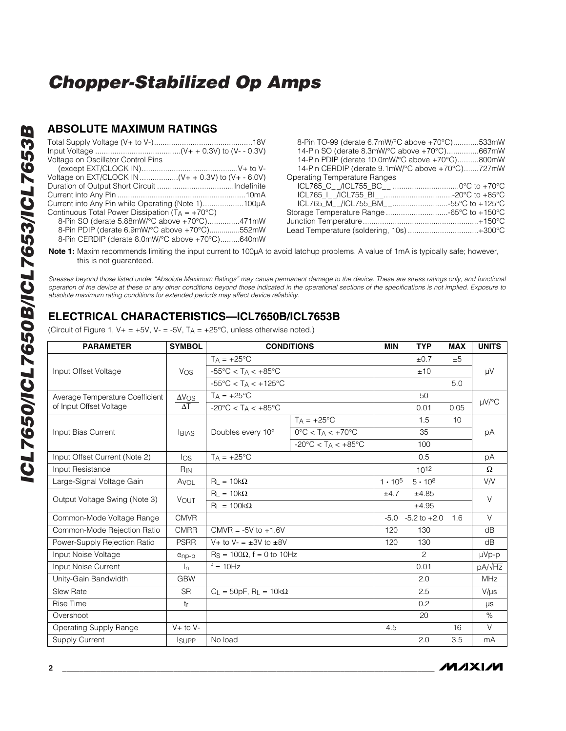### **ABSOLUTE MAXIMUM RATINGS**

| 8-Pin TO-99 (derate 6.7mW/°C above +70°C)533mW   |  |
|--------------------------------------------------|--|
| 14-Pin SO (derate 8.3mW/°C above +70°C)667mW     |  |
| 14-Pin PDIP (derate 10.0mW/°C above +70°C)800mW  |  |
| 14-Pin CERDIP (derate 9.1mW/°C above +70°C)727mW |  |
| Operating Temperature Ranges                     |  |
|                                                  |  |
|                                                  |  |
|                                                  |  |
| Storage Temperature Range -65°C to +150°C        |  |
|                                                  |  |
| Lead Temperature (soldering, 10s)+300°C          |  |
|                                                  |  |

**Note 1:** Maxim recommends limiting the input current to 100µA to avoid latchup problems. A value of 1mA is typically safe; however, this is not guaranteed.

*Stresses beyond those listed under "Absolute Maximum Ratings" may cause permanent damage to the device. These are stress ratings only, and functional operation of the device at these or any other conditions beyond those indicated in the operational sections of the specifications is not implied. Exposure to absolute maximum rating conditions for extended periods may affect device reliability.*

### **ELECTRICAL CHARACTERISTICS—ICL7650B/ICL7653B**

(Circuit of Figure 1,  $V_+ = +5V$ ,  $V_- = -5V$ ,  $T_A = +25^{\circ}C$ , unless otherwise noted.)

| <b>PARAMETER</b>                | <b>SYMBOL</b>     | <b>CONDITIONS</b>                                  |                                                   | <b>MIN</b>       | <b>TYP</b>       | <b>MAX</b>      | <b>UNITS</b>       |
|---------------------------------|-------------------|----------------------------------------------------|---------------------------------------------------|------------------|------------------|-----------------|--------------------|
|                                 |                   | $T_A = +25^{\circ}C$                               |                                                   |                  | ±0.7             | ±5              |                    |
| Input Offset Voltage            | Vos               | $-55^{\circ}$ C < T <sub>A</sub> < $+85^{\circ}$ C |                                                   |                  | ±10              |                 | $\mu$ V            |
|                                 |                   | $-55^{\circ}$ C < TA < $+125^{\circ}$ C            |                                                   |                  |                  | 5.0             |                    |
| Average Temperature Coefficient | $\Delta V$ OS     | $T_A = +25$ °C                                     |                                                   |                  | 50               |                 |                    |
| of Input Offset Voltage         | $\Delta T$        | $-20^{\circ}$ C < T <sub>A</sub> < $+85^{\circ}$ C |                                                   |                  | 0.01             | 0.05            | $\mu$ V/°C         |
|                                 |                   |                                                    | $TA = +25^{\circ}C$                               |                  | 1.5              | 10 <sup>1</sup> |                    |
| Input Bias Current              | <b>BIAS</b>       | Doubles every 10°                                  | $0^{\circ}$ C < T <sub>A</sub> < +70 $^{\circ}$ C |                  | 35               |                 | рA                 |
|                                 |                   |                                                    | $-20^{\circ}$ C < TA < $+85^{\circ}$ C            |                  | 100              |                 |                    |
| Input Offset Current (Note 2)   | $\log$            | $TA = +25^{\circ}C$                                |                                                   |                  | 0.5              |                 | рA                 |
| Input Resistance                | $R_{IN}$          |                                                    |                                                   |                  | $10^{12}$        |                 | $\Omega$           |
| Large-Signal Voltage Gain       | AVOL              | $R_{L} = 10k\Omega$                                |                                                   | $1 \cdot 10^{5}$ | $5 \cdot 10^8$   |                 | V/V                |
| Output Voltage Swing (Note 3)   | VOUT              | $R_1 = 10k\Omega$                                  |                                                   | ±4.7<br>±4.85    |                  |                 | $\vee$             |
|                                 |                   | $R_L = 100k\Omega$                                 |                                                   |                  | ±4.95            |                 |                    |
| Common-Mode Voltage Range       | <b>CMVR</b>       |                                                    |                                                   | $-5.0$           | $-5.2$ to $+2.0$ | 1.6             | $\vee$             |
| Common-Mode Rejection Ratio     | <b>CMRR</b>       | $CMVR = -5V$ to $+1.6V$                            |                                                   | 120              | 130              |                 | dB                 |
| Power-Supply Rejection Ratio    | <b>PSRR</b>       | V + to V - $=\pm 3V$ to $\pm 8V$                   |                                                   | 120              | 130              |                 | dB                 |
| Input Noise Voltage             | $e_{\text{np-p}}$ | $RS = 100\Omega$ , f = 0 to 10Hz                   |                                                   |                  | 2                |                 | $\mu Vp-p$         |
| Input Noise Current             | I <sub>n</sub>    | $f = 10Hz$                                         |                                                   |                  | 0.01             |                 | pA/ <sub>VHz</sub> |
| Unity-Gain Bandwidth            | <b>GBW</b>        |                                                    |                                                   |                  | 2.0              |                 | MHz                |
| <b>Slew Rate</b>                | <b>SR</b>         | $C_1 = 50pF$ , R <sub>1</sub> = 10k $\Omega$       |                                                   |                  | 2.5              |                 | $V/\mu s$          |
| <b>Rise Time</b>                | tr                |                                                    |                                                   |                  | 0.2              |                 | $\mu s$            |
| Overshoot                       |                   |                                                    |                                                   |                  | 20               |                 | $\%$               |
| <b>Operating Supply Range</b>   | $V+$ to $V-$      |                                                    |                                                   | 4.5              |                  | 16              | $\vee$             |
| <b>Supply Current</b>           | <b>I</b> SUPP     | No load                                            |                                                   |                  | 2.0              | 3.5             | mA                 |

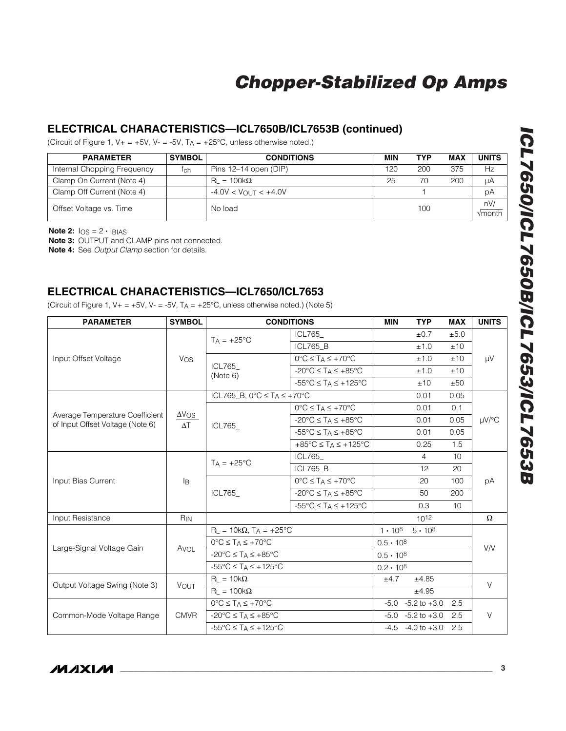### **ELECTRICAL CHARACTERISTICS—ICL7650B/ICL7653B (continued)**

(Circuit of Figure 1,  $V_+ = +5V$ ,  $V_- = -5V$ ,  $T_A = +25^{\circ}C$ , unless otherwise noted.)

| <b>PARAMETER</b>            | <b>SYMBOL</b> | <b>CONDITIONS</b>                          | MIN | TYP | MAX | <b>UNITS</b>                 |
|-----------------------------|---------------|--------------------------------------------|-----|-----|-----|------------------------------|
| Internal Chopping Frequency | tch           | Pins 12-14 open (DIP)                      | 120 | 200 | 375 | Нz                           |
| Clamp On Current (Note 4)   |               | $\text{R}_{\text{I}} = 100 \text{k}\Omega$ | 25  | 70  | 200 | uА                           |
| Clamp Off Current (Note 4)  |               | $-4.0V < V_{\text{OUT}} < +4.0V$           |     |     |     | рA                           |
| Offset Voltage vs. Time     |               | No load                                    |     | 100 |     | nV/<br>$\sqrt{\text{month}}$ |

**Note 2:**  $log = 2 \cdot$  **BIAS** 

**Note 3:** OUTPUT and CLAMP pins not connected.

**Note 4:** See *Output Clamp* section for details.

### **ELECTRICAL CHARACTERISTICS—ICL7650/ICL7653**

(Circuit of Figure 1,  $V_+ = +5V$ ,  $V_- = -5V$ ,  $T_A = +25^{\circ}C$ , unless otherwise noted.) (Note 5)

| <b>PARAMETER</b>                                                    | <b>SYMBOL</b>               | <b>CONDITIONS</b>                                                     |                                                                | <b>MIN</b>         | <b>TYP</b>             | <b>MAX</b> | <b>UNITS</b> |  |
|---------------------------------------------------------------------|-----------------------------|-----------------------------------------------------------------------|----------------------------------------------------------------|--------------------|------------------------|------------|--------------|--|
|                                                                     | Vos                         | $TA = +25^{\circ}C$                                                   | ICL765_                                                        |                    | ±0.7                   | ±5.0       | μV           |  |
|                                                                     |                             |                                                                       | <b>ICL765 B</b>                                                |                    | ±1.0                   | ±10        |              |  |
| Input Offset Voltage                                                |                             | ICL765<br>(Note 6)                                                    | $0^{\circ}C \leq T_A \leq +70^{\circ}C$                        |                    | ±1.0                   | ±10        |              |  |
|                                                                     |                             |                                                                       | $-20^{\circ}$ C $\leq$ T <sub>A</sub> $\leq$ +85 $^{\circ}$ C  |                    | ±1.0                   | ±10        |              |  |
|                                                                     |                             |                                                                       | $-55^{\circ}$ C $\leq$ T <sub>A</sub> $\leq$ +125°C            |                    | ±10                    | ±50        |              |  |
|                                                                     |                             | ICL765_B, $0^{\circ}$ C $\leq$ T <sub>A</sub> $\leq$ +70 $^{\circ}$ C |                                                                |                    | 0.01                   | 0.05       |              |  |
|                                                                     |                             | ICL765                                                                | $0^{\circ}C \leq T_A \leq +70^{\circ}C$                        |                    | 0.01                   | 0.1        | $\mu$ V/°C   |  |
| Average Temperature Coefficient<br>of Input Offset Voltage (Note 6) | $\Delta V$ OS<br>$\Delta T$ |                                                                       | $-20^{\circ}$ C $\leq$ T <sub>A</sub> $\leq$ +85 $^{\circ}$ C  |                    | 0.01                   | 0.05       |              |  |
|                                                                     |                             |                                                                       | $-55^{\circ}$ C $\leq$ T <sub>A</sub> $\leq$ +85°C             |                    | 0.01                   | 0.05       |              |  |
|                                                                     |                             |                                                                       | $+85^{\circ}$ C $\leq$ T <sub>A</sub> $\leq$ +125 $^{\circ}$ C |                    | 0.25                   | 1.5        |              |  |
|                                                                     | l <sub>B</sub>              | $T_A = +25$ °C                                                        | ICL765                                                         |                    | 4                      | 10         | рA           |  |
|                                                                     |                             |                                                                       | <b>ICL765 B</b>                                                |                    | 12                     | 20         |              |  |
| Input Bias Current                                                  |                             | ICL765                                                                | $0^{\circ}C \leq T_A \leq +70^{\circ}C$                        |                    | 20                     | 100        |              |  |
|                                                                     |                             |                                                                       | $-20^{\circ}$ C $\leq$ T <sub>A</sub> $\leq$ +85 $^{\circ}$ C  |                    | 50                     | 200        |              |  |
|                                                                     |                             |                                                                       | $-55^{\circ}$ C $\leq$ T <sub>A</sub> $\leq$ +125°C            |                    | 0.3                    | 10         |              |  |
| Input Resistance                                                    | $R_{IN}$                    |                                                                       |                                                                |                    | $10^{12}$              |            | $\Omega$     |  |
|                                                                     | AVOL                        | $R_L = 10k\Omega$ , $T_A = +25^{\circ}C$                              |                                                                | $1 \cdot 10^{8}$   | $5 \cdot 10^8$         |            |              |  |
| Large-Signal Voltage Gain                                           |                             | $0^{\circ}C \leq T_A \leq +70^{\circ}C$                               |                                                                | $0.5 \cdot 10^8$   |                        |            | <b>V/V</b>   |  |
|                                                                     |                             | $-20^{\circ}$ C $\leq$ T <sub>A</sub> $\leq$ +85°C                    |                                                                | $0.5 \cdot 10^{8}$ |                        |            |              |  |
|                                                                     |                             | $-55^{\circ}$ C $\leq$ T <sub>A</sub> $\leq$ +125°C                   |                                                                | $0.2 \cdot 10^8$   |                        |            |              |  |
| Output Voltage Swing (Note 3)                                       | <b>VOUT</b>                 | $R_L = 10k\Omega$                                                     |                                                                | ±4.7               | ±4.85                  |            | $\vee$       |  |
|                                                                     |                             | $R_L = 100k\Omega$                                                    |                                                                |                    | ±4.95                  |            |              |  |
| Common-Mode Voltage Range                                           | <b>CMVR</b>                 | $0^{\circ}C \leq T_A \leq +70^{\circ}C$                               |                                                                |                    | $-5.0 -5.2$ to $+3.0$  | 2.5        |              |  |
|                                                                     |                             | $-20^{\circ}$ C $\leq$ T <sub>A</sub> $\leq$ +85 $^{\circ}$ C         |                                                                |                    | $-5.0 -5.2$ to $+3.0$  | 2.5        | $\vee$       |  |
|                                                                     |                             | $-55^{\circ}$ C $\leq$ T <sub>A</sub> $\leq$ +125°C                   |                                                                |                    | $-4.5 - 4.0$ to $+3.0$ | 2.5        |              |  |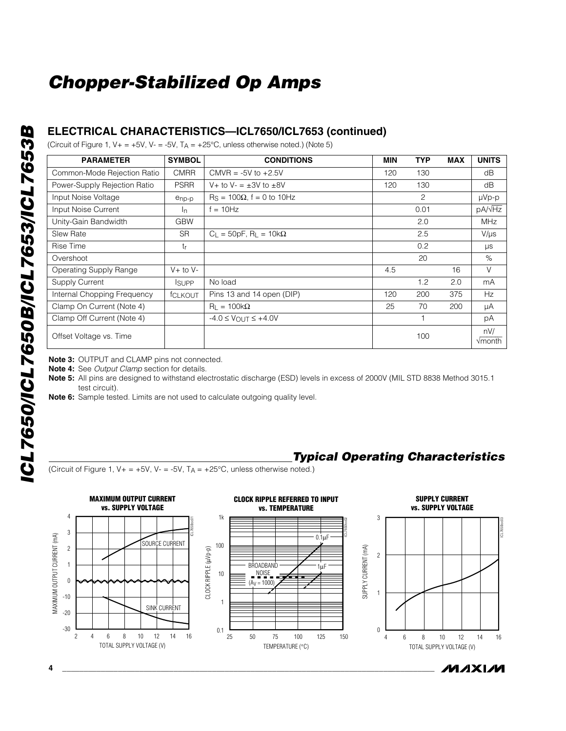### **ELECTRICAL CHARACTERISTICS—ICL7650/ICL7653 (continued)**

(Circuit of Figure 1,  $V_+ = +5V$ ,  $V_- = -5V$ ,  $T_A = +25^{\circ}C$ , unless otherwise noted.) (Note 5)

| <b>PARAMETER</b>              | <b>SYMBOL</b>  | <b>CONDITIONS</b>                            | <b>MIN</b> | <b>TYP</b> | <b>MAX</b> | <b>UNITS</b>           |
|-------------------------------|----------------|----------------------------------------------|------------|------------|------------|------------------------|
| Common-Mode Rejection Ratio   | <b>CMRR</b>    | CMVR = $-5V$ to $+2.5V$                      | 120        | 130        |            | dB                     |
| Power-Supply Rejection Ratio  | <b>PSRR</b>    | V + to V - $\pm$ 3V to $\pm$ 8V              | 120        | 130        |            | dB                     |
| Input Noise Voltage           | enp-p          | $\text{Rs} = 100\Omega$ , f = 0 to 10Hz      |            | 2          |            | µVp-p                  |
| Input Noise Current           | In.            | $= 10Hz$                                     |            | 0.01       |            | pA/ $\sqrt{Hz}$        |
| Unity-Gain Bandwidth          | <b>GBW</b>     |                                              |            | 2.0        |            | <b>MHz</b>             |
| <b>Slew Rate</b>              | <b>SR</b>      | $C_L = 50pF$ , R <sub>L</sub> = 10k $\Omega$ |            | 2.5        |            | $V/\mu s$              |
| Rise Time                     | tr             |                                              |            | 0.2        |            | μs                     |
| Overshoot                     |                |                                              |            | 20         |            | $\%$                   |
| <b>Operating Supply Range</b> | $V+$ to $V-$   |                                              | 4.5        |            | 16         | V                      |
| Supply Current                | <b>SUPP</b>    | No load                                      |            | 1.2        | 2.0        | mA                     |
| Internal Chopping Frequency   | <b>fCLKOUT</b> | Pins 13 and 14 open (DIP)                    | 120        | 200        | 375        | Hz                     |
| Clamp On Current (Note 4)     |                | $R_1 = 100k\Omega$                           | 25         | 70         | 200        | μA                     |
| Clamp Off Current (Note 4)    |                | $-4.0 \leq V_{\text{OUT}} \leq +4.0V$        |            |            |            | рA                     |
| Offset Voltage vs. Time       |                |                                              |            | 100        |            | nV/<br>$\sqrt{m}$ onth |

**Note 3:** OUTPUT and CLAMP pins not connected.

**Note 4:** See *Output Clamp* section for details.

**Note 5:** All pins are designed to withstand electrostatic discharge (ESD) levels in excess of 2000V (MIL STD 8838 Method 3015.1 test circuit).

**Note 6:** Sample tested. Limits are not used to calculate outgoing quality level.

### *Typical Operating Characteristics*

(Circuit of Figure 1,  $V_+ = +5V$ ,  $V_- = -5V$ ,  $T_A = +25^{\circ}C$ , unless otherwise noted.)

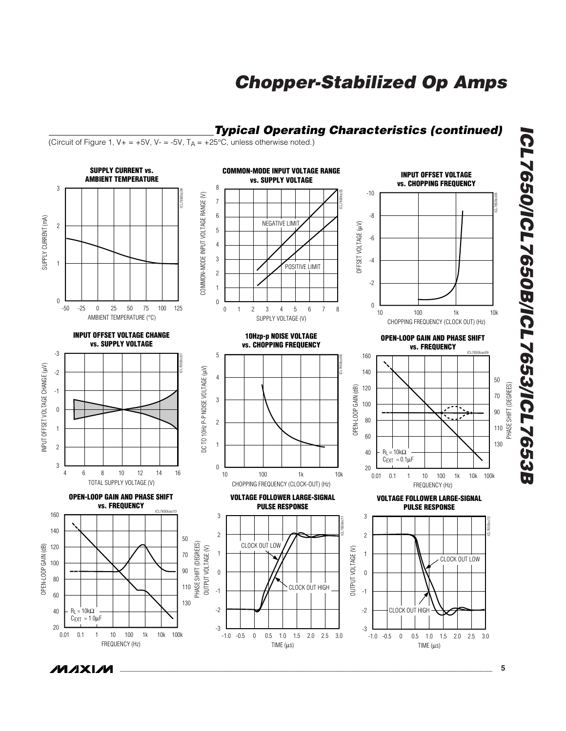

*ICL7650/ICL7650B/ICL7653/ICL7653B* ICL7650/ICL7650B/ICL7653/ICL7653B

**MAXM**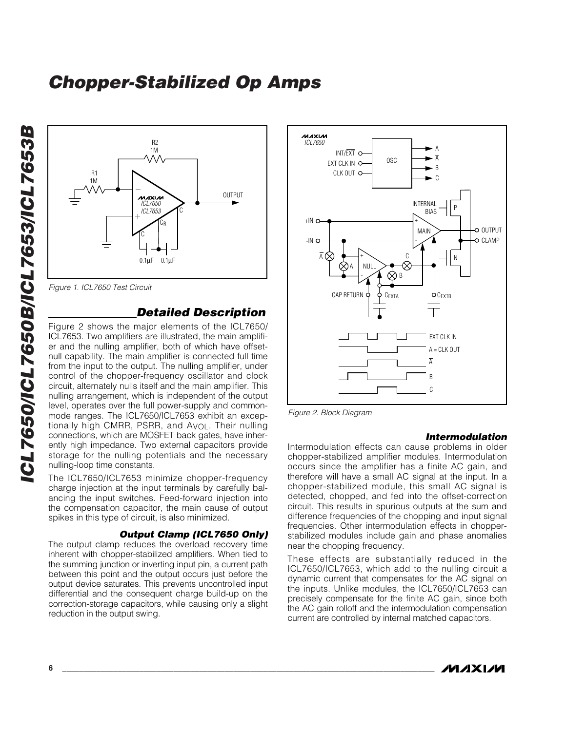

*Figure 1. ICL7650 Test Circuit*

### *Detailed Description*

Figure 2 shows the major elements of the ICL7650/ ICL7653. Two amplifiers are illustrated, the main amplifier and the nulling amplifier, both of which have offsetnull capability. The main amplifier is connected full time from the input to the output. The nulling amplifier, under control of the chopper-frequency oscillator and clock circuit, alternately nulls itself and the main amplifier. This nulling arrangement, which is independent of the output level, operates over the full power-supply and commonmode ranges. The ICL7650/ICL7653 exhibit an exceptionally high CMRR, PSRR, and AVOL. Their nulling connections, which are MOSFET back gates, have inherently high impedance. Two external capacitors provide storage for the nulling potentials and the necessary nulling-loop time constants.

The ICL7650/ICL7653 minimize chopper-frequency charge injection at the input terminals by carefully balancing the input switches. Feed-forward injection into the compensation capacitor, the main cause of output spikes in this type of circuit, is also minimized.

#### *Output Clamp (ICL7650 Only)*

The output clamp reduces the overload recovery time inherent with chopper-stabilized amplifiers. When tied to the summing junction or inverting input pin, a current path between this point and the output occurs just before the output device saturates. This prevents uncontrolled input differential and the consequent charge build-up on the correction-storage capacitors, while causing only a slight reduction in the output swing.



*Figure 2. Block Diagram*

#### *Intermodulation*

Intermodulation effects can cause problems in older chopper-stabilized amplifier modules. Intermodulation occurs since the amplifier has a finite AC gain, and therefore will have a small AC signal at the input. In a chopper-stabilized module, this small AC signal is detected, chopped, and fed into the offset-correction circuit. This results in spurious outputs at the sum and difference frequencies of the chopping and input signal frequencies. Other intermodulation effects in chopperstabilized modules include gain and phase anomalies near the chopping frequency.

These effects are substantially reduced in the ICL7650/ICL7653, which add to the nulling circuit a dynamic current that compensates for the AC signal on the inputs. Unlike modules, the ICL7650/ICL7653 can precisely compensate for the finite AC gain, since both the AC gain rolloff and the intermodulation compensation current are controlled by internal matched capacitors.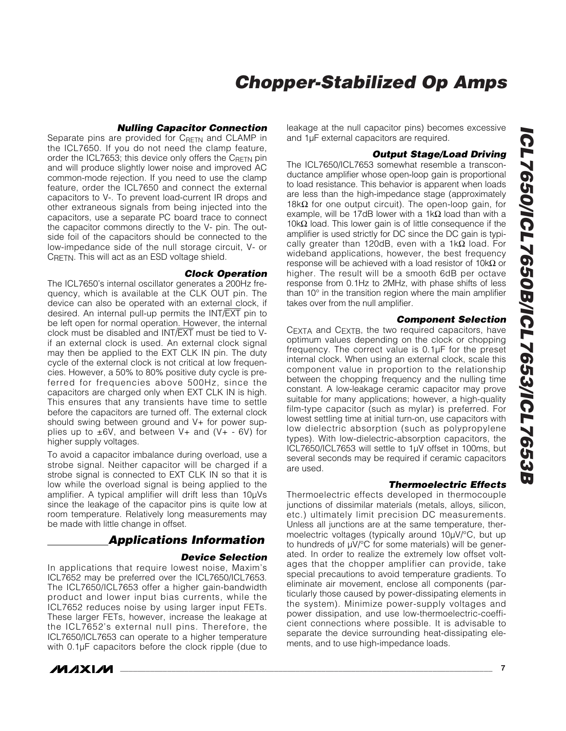#### *Nulling Capacitor Connection*

Separate pins are provided for C<sub>RETN</sub> and CLAMP in the ICL7650. If you do not need the clamp feature, order the ICL7653; this device only offers the  $C_{\text{RETN}}$  pin and will produce slightly lower noise and improved AC common-mode rejection. If you need to use the clamp feature, order the ICL7650 and connect the external capacitors to V-. To prevent load-current IR drops and other extraneous signals from being injected into the capacitors, use a separate PC board trace to connect the capacitor commons directly to the V- pin. The outside foil of the capacitors should be connected to the low-impedance side of the null storage circuit, V- or CRETN. This will act as an ESD voltage shield.

#### *Clock Operation*

The ICL7650's internal oscillator generates a 200Hz frequency, which is available at the CLK OUT pin. The device can also be operated with an external clock, if desired. An internal pull-up permits the INT/EXT pin to be left open for normal operation. However, the internal clock must be disabled and INT/EXT must be tied to Vif an external clock is used. An external clock signal may then be applied to the EXT CLK IN pin. The duty cycle of the external clock is not critical at low frequencies. However, a 50% to 80% positive duty cycle is preferred for frequencies above 500Hz, since the capacitors are charged only when EXT CLK IN is high. This ensures that any transients have time to settle before the capacitors are turned off. The external clock should swing between ground and V+ for power supplies up to  $\pm 6V$ , and between V+ and (V+ - 6V) for higher supply voltages.

To avoid a capacitor imbalance during overload, use a strobe signal. Neither capacitor will be charged if a strobe signal is connected to EXT CLK IN so that it is low while the overload signal is being applied to the amplifier. A typical amplifier will drift less than 10µVs since the leakage of the capacitor pins is quite low at room temperature. Relatively long measurements may be made with little change in offset.

### *Applications Information*

#### *Device Selection*

In applications that require lowest noise, Maxim's ICL7652 may be preferred over the ICL7650/ICL7653. The ICL7650/ICL7653 offer a higher gain-bandwidth product and lower input bias currents, while the ICL7652 reduces noise by using larger input FETs. These larger FETs, however, increase the leakage at the ICL7652's external null pins. Therefore, the ICL7650/ICL7653 can operate to a higher temperature with 0.1µF capacitors before the clock ripple (due to



leakage at the null capacitor pins) becomes excessive and 1µF external capacitors are required.

#### *Output Stage/Load Driving*

The ICL7650/ICL7653 somewhat resemble a transconductance amplifier whose open-loop gain is proportional to load resistance. This behavior is apparent when loads are less than the high-impedance stage (approximately 18k $\Omega$  for one output circuit). The open-loop gain, for example, will be 17dB lower with a 1k $\Omega$  load than with a 10kΩ load. This lower gain is of little consequence if the amplifier is used strictly for DC since the DC gain is typically greater than 120dB, even with a 1kΩ load. For wideband applications, however, the best frequency response will be achieved with a load resistor of 10kΩ or higher. The result will be a smooth 6dB per octave response from 0.1Hz to 2MHz, with phase shifts of less than 10° in the transition region where the main amplifier takes over from the null amplifier.

#### *Component Selection*

CEXTA and CEXTB, the two required capacitors, have optimum values depending on the clock or chopping frequency. The correct value is 0.1µF for the preset internal clock. When using an external clock, scale this component value in proportion to the relationship between the chopping frequency and the nulling time constant. A low-leakage ceramic capacitor may prove suitable for many applications; however, a high-quality film-type capacitor (such as mylar) is preferred. For lowest settling time at initial turn-on, use capacitors with low dielectric absorption (such as polypropylene types). With low-dielectric-absorption capacitors, the ICL7650/ICL7653 will settle to 1µV offset in 100ms, but several seconds may be required if ceramic capacitors are used.

#### *Thermoelectric Effects*

Thermoelectric effects developed in thermocouple junctions of dissimilar materials (metals, alloys, silicon, etc.) ultimately limit precision DC measurements. Unless all junctions are at the same temperature, thermoelectric voltages (typically around 10µV/°C, but up to hundreds of µV/°C for some materials) will be generated. In order to realize the extremely low offset voltages that the chopper amplifier can provide, take special precautions to avoid temperature gradients. To eliminate air movement, enclose all components (particularly those caused by power-dissipating elements in the system). Minimize power-supply voltages and power dissipation, and use low-thermoelectric-coefficient connections where possible. It is advisable to separate the device surrounding heat-dissipating elements, and to use high-impedance loads.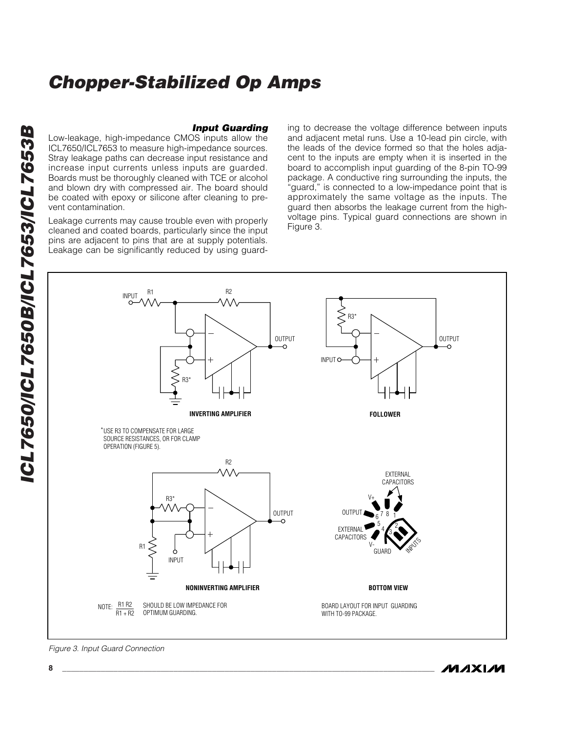*Input Guarding* Low-leakage, high-impedance CMOS inputs allow the ICL7650/ICL7653 to measure high-impedance sources. Stray leakage paths can decrease input resistance and increase input currents unless inputs are guarded. Boards must be thoroughly cleaned with TCE or alcohol and blown dry with compressed air. The board should be coated with epoxy or silicone after cleaning to prevent contamination.

Leakage currents may cause trouble even with properly cleaned and coated boards, particularly since the input pins are adjacent to pins that are at supply potentials. Leakage can be significantly reduced by using guarding to decrease the voltage difference between inputs and adjacent metal runs. Use a 10-lead pin circle, with the leads of the device formed so that the holes adjacent to the inputs are empty when it is inserted in the board to accomplish input guarding of the 8-pin TO-99 package. A conductive ring surrounding the inputs, the "guard," is connected to a low-impedance point that is approximately the same voltage as the inputs. The guard then absorbs the leakage current from the highvoltage pins. Typical guard connections are shown in Figure 3.

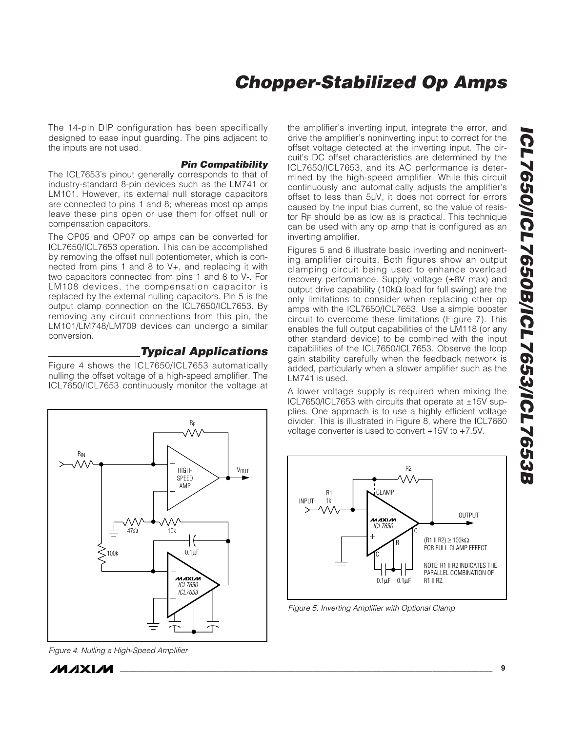The 14-pin DIP configuration has been specifically designed to ease input guarding. The pins adjacent to the inputs are not used.

#### *Pin Compatibility*

The ICL7653's pinout generally corresponds to that of industry-standard 8-pin devices such as the LM741 or LM101. However, its external null storage capacitors are connected to pins 1 and 8; whereas most op amps leave these pins open or use them for offset null or compensation capacitors.

The OP05 and OP07 op amps can be converted for ICL7650/ICL7653 operation. This can be accomplished by removing the offset null potentiometer, which is connected from pins 1 and 8 to V+, and replacing it with two capacitors connected from pins 1 and 8 to V-. For LM108 devices, the compensation capacitor is replaced by the external nulling capacitors. Pin 5 is the output clamp connection on the ICL7650/ICL7653. By removing any circuit connections from this pin, the LM101/LM748/LM709 devices can undergo a similar conversion.

### *Typical Applications*

Figure 4 shows the ICL7650/ICL7653 automatically nulling the offset voltage of a high-speed amplifier. The ICL7650/ICL7653 continuously monitor the voltage at



*Figure 4. Nulling a High-Speed Amplifier*

**MAXM** 

the amplifier's inverting input, integrate the error, and drive the amplifier's noninverting input to correct for the offset voltage detected at the inverting input. The circuit's DC offset characteristics are determined by the ICL7650/ICL7653, and its AC performance is determined by the high-speed amplifier. While this circuit continuously and automatically adjusts the amplifier's offset to less than 5µV, it does not correct for errors caused by the input bias current, so the value of resistor RF should be as low as is practical. This technique can be used with any op amp that is configured as an inverting amplifier.

Figures 5 and 6 illustrate basic inverting and noninverting amplifier circuits. Both figures show an output clamping circuit being used to enhance overload recovery performance. Supply voltage (±8V max) and output drive capability (10kΩ load for full swing) are the only limitations to consider when replacing other op amps with the ICL7650/ICL7653. Use a simple booster circuit to overcome these limitations (Figure 7). This enables the full output capabilities of the LM118 (or any other standard device) to be combined with the input capabilities of the ICL7650/ICL7653. Observe the loop gain stability carefully when the feedback network is added, particularly when a slower amplifier such as the LM741 is used.

A lower voltage supply is required when mixing the ICL7650/ICL7653 with circuits that operate at  $\pm$ 15V supplies. One approach is to use a highly efficient voltage divider. This is illustrated in Figure 8, where the ICL7660 voltage converter is used to convert +15V to +7.5V.



*Figure 5. Inverting Amplifier with Optional Clamp*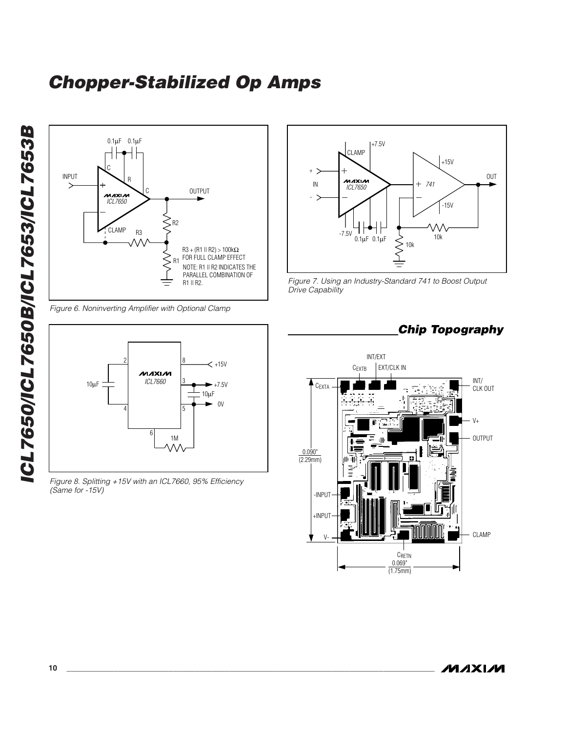

*Figure 6. Noninverting Amplifier with Optional Clamp*



*Figure 8. Splitting +15V with an ICL7660, 95% Efficiency (Same for -15V)*







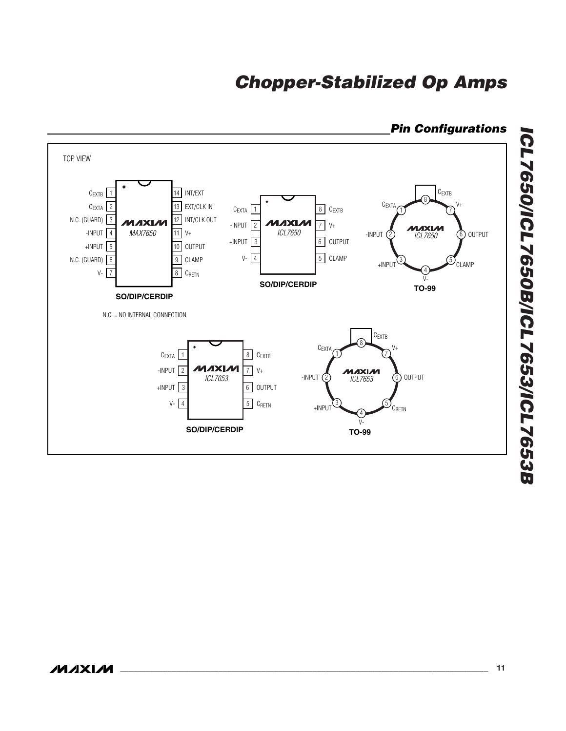

### *Pin Configurations*

*ICL7650/ICL7650B/ICL7653/ICL7653B*

ICL7650/ICL7650B/ICL7653/ICL7653B